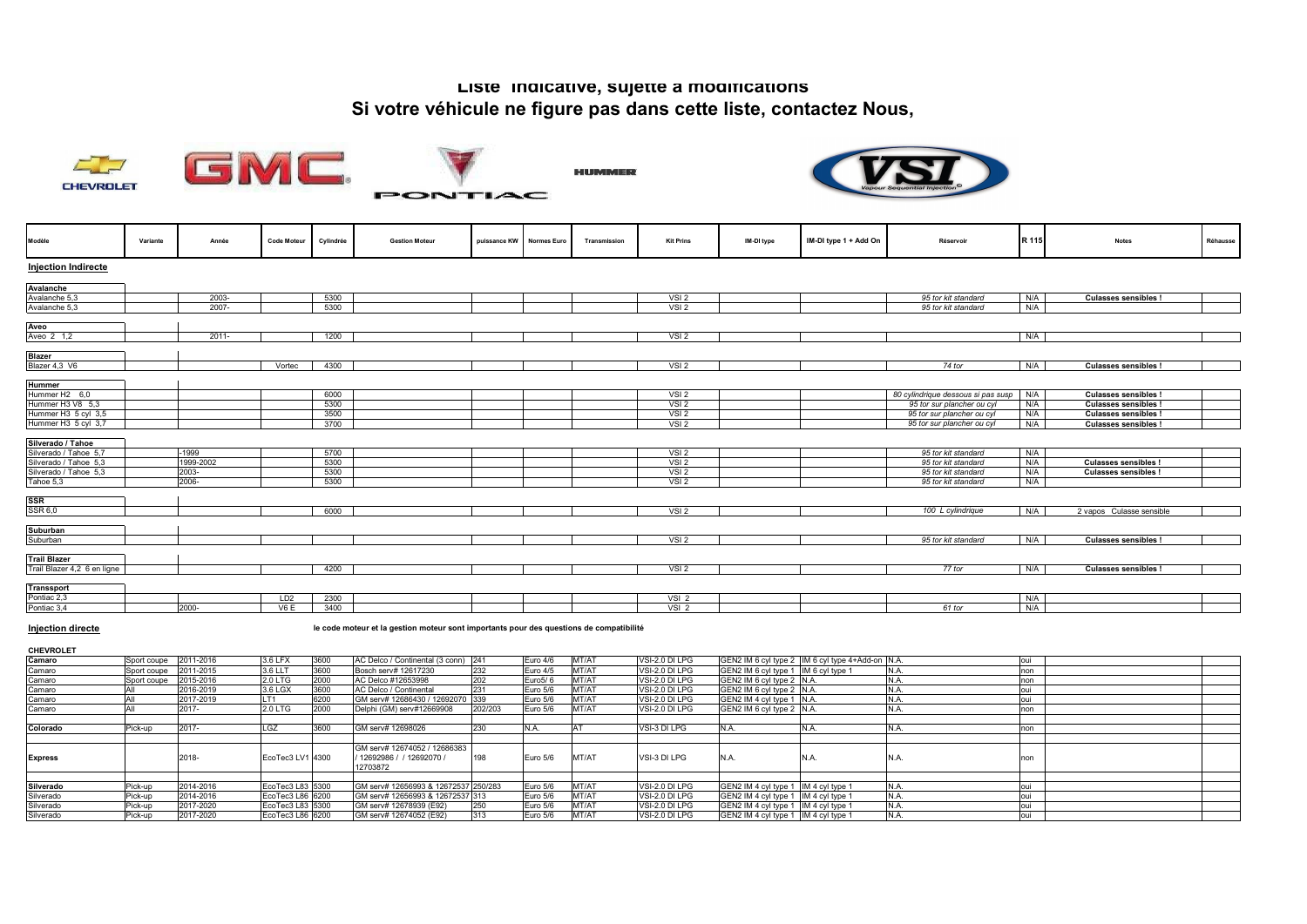## **Liste indicative, sujette à modifications Si votre véhicule ne figure pas dans cette liste, contactez Nous,**

**HUMMER** 







**PONTIAC** 



| Modèle                                     | Variante | Année          | <b>Code Moteur</b> | Cylindrée    | <b>Gestion Moteur</b> | puissance KW | <b>Normes Euro</b> | Transmission | <b>Kit Prins</b>                     | IM-DI type | IM-DI type 1 + Add On | Réservoir                          | R 115      | <b>Notes</b>               | Réhausse |
|--------------------------------------------|----------|----------------|--------------------|--------------|-----------------------|--------------|--------------------|--------------|--------------------------------------|------------|-----------------------|------------------------------------|------------|----------------------------|----------|
| <b>Injection Indirecte</b>                 |          |                |                    |              |                       |              |                    |              |                                      |            |                       |                                    |            |                            |          |
| Avalanche                                  |          |                |                    |              |                       |              |                    |              |                                      |            |                       |                                    |            |                            |          |
| Avalanche 5,3                              |          | 2003-          |                    | 5300         |                       |              |                    |              | VSI <sub>2</sub>                     |            |                       | 95 tor kit standard                | N/A        | <b>Culasses sensibles!</b> |          |
| Avalanche 5,3                              |          | $2007 -$       |                    | 5300         |                       |              |                    |              | VSI <sub>2</sub>                     |            |                       | 95 tor kit standard                | N/A        |                            |          |
|                                            |          |                |                    |              |                       |              |                    |              |                                      |            |                       |                                    |            |                            |          |
| Aveo                                       |          |                |                    |              |                       |              |                    |              |                                      |            |                       |                                    |            |                            |          |
| Aveo 2 1,2                                 |          | $2011 -$       |                    | 1200         |                       |              |                    |              | VSI <sub>2</sub>                     |            |                       |                                    | N/A        |                            |          |
| <b>Blazer</b>                              |          |                |                    |              |                       |              |                    |              |                                      |            |                       |                                    |            |                            |          |
| Blazer 4,3 V6                              |          |                | Vortec             | 4300         |                       |              |                    |              | VSI <sub>2</sub>                     |            |                       | 74 tor                             | N/A        | <b>Culasses sensibles!</b> |          |
|                                            |          |                |                    |              |                       |              |                    |              |                                      |            |                       |                                    |            |                            |          |
| <b>Hummer</b>                              |          |                |                    |              |                       |              |                    |              |                                      |            |                       |                                    |            |                            |          |
| Hummer H2 6,0                              |          |                |                    | 6000         |                       |              |                    |              | VSI <sub>2</sub>                     |            |                       | 80 cylindrique dessous si pas susp | N/A        | <b>Culasses sensibles!</b> |          |
| Hummer H3 V8 5,3                           |          |                |                    | 5300         |                       |              |                    |              | VSI <sub>2</sub>                     |            |                       | 95 tor sur plancher ou cyl         | N/A        | <b>Culasses sensibles!</b> |          |
| Hummer H3 5 cyl 3,5                        |          |                |                    | 3500         |                       |              |                    |              | VSI <sub>2</sub>                     |            |                       | 95 tor sur plancher ou cyl         | N/A        | <b>Culasses sensibles!</b> |          |
| Hummer H3 5 cyl 3,7                        |          |                |                    | 3700         |                       |              |                    |              | VSI <sub>2</sub>                     |            |                       | 95 tor sur plancher ou cyl         | N/A        | <b>Culasses sensibles!</b> |          |
|                                            |          |                |                    |              |                       |              |                    |              |                                      |            |                       |                                    |            |                            |          |
| Silverado / Tahoe<br>Silverado / Tahoe 5,7 |          | -1999          |                    | 5700         |                       |              |                    |              | VSI <sub>2</sub>                     |            |                       | 95 tor kit standard                | N/A        |                            |          |
| Silverado / Tahoe 5,3                      |          | 1999-2002      |                    | 5300         |                       |              |                    |              | VSI2                                 |            |                       | 95 tor kit standard                | N/A        | <b>Culasses sensibles!</b> |          |
|                                            |          |                |                    |              |                       |              |                    |              |                                      |            |                       |                                    |            |                            |          |
| Silverado / Tahoe 5,3                      |          | 2003-<br>2006- |                    | 5300<br>5300 |                       |              |                    |              | VSI <sub>2</sub><br>VSI <sub>2</sub> |            |                       | 95 tor kit standard                | N/A<br>N/A | <b>Culasses sensibles!</b> |          |
| Tahoe 5,3                                  |          |                |                    |              |                       |              |                    |              |                                      |            |                       | 95 tor kit standard                |            |                            |          |
|                                            |          |                |                    |              |                       |              |                    |              |                                      |            |                       |                                    |            |                            |          |
| $rac{\text{SSR}}{\text{SSR }6,0}$          |          |                |                    | 6000         |                       |              |                    |              | VSI <sub>2</sub>                     |            |                       | 100 L cylindrique                  | N/A        | 2 vapos Culasse sensible   |          |
|                                            |          |                |                    |              |                       |              |                    |              |                                      |            |                       |                                    |            |                            |          |
| Suburban                                   |          |                |                    |              |                       |              |                    |              |                                      |            |                       |                                    |            |                            |          |
| Suburban                                   |          |                |                    |              |                       |              |                    |              | VSI2                                 |            |                       | 95 tor kit standard                | N/A        | <b>Culasses sensibles!</b> |          |
| <b>Trail Blazer</b>                        |          |                |                    |              |                       |              |                    |              |                                      |            |                       |                                    |            |                            |          |
| Trail Blazer 4,2 6 en ligne                |          |                |                    | 4200         |                       |              |                    |              | VSI <sub>2</sub>                     |            |                       | 77 tor                             | N/A        | <b>Culasses sensibles!</b> |          |
|                                            |          |                |                    |              |                       |              |                    |              |                                      |            |                       |                                    |            |                            |          |
| <b>Transsport</b>                          |          |                |                    |              |                       |              |                    |              |                                      |            |                       |                                    |            |                            |          |
| Pontiac 2,3                                |          |                | LD <sub>2</sub>    | 2300         |                       |              |                    |              | VSI <sub>2</sub>                     |            |                       |                                    | N/A        |                            |          |
| Pontiac 3,4                                |          | 2000-          | V6E                | 3400         |                       |              |                    |              | VSI <sub>2</sub>                     |            |                       | 61 tor                             | N/A        |                            |          |
|                                            |          |                |                    |              |                       |              |                    |              |                                      |            |                       |                                    |            |                            |          |

**Injection directe le code moteur et la gestion moteur sont importants pour des questions de compatibilité** 

**CHEVROLET**

| Camaro         | Sport coupe 2011-2016 |           | 3.6 LFX          | 3600 | AC Delco / Continental (3 conn) 241                                   |         | Euro 4/6             | MT/AT | VSI-2.0 DI LPG |                                      | GEN2 IM 6 cyl type 2 IM 6 cyl type 4+Add-on N.A. |      | oui  |  |
|----------------|-----------------------|-----------|------------------|------|-----------------------------------------------------------------------|---------|----------------------|-------|----------------|--------------------------------------|--------------------------------------------------|------|------|--|
| Camaro         | Sport coupe 2011-2015 |           | 3.6 LLT          | 3600 | Bosch serv# 12617230                                                  | 232     | Euro 4/5             | MT/AT | VSI-2.0 DI LPG | GEN2 IM 6 cvl type 1 IM 6 cvl type 1 |                                                  | IN.A | non  |  |
| Camaro         | Sport coupe           | 2015-2016 | 2.0 LTG          | 2000 | AC Delco #12653998                                                    | 202     | Euro <sub>5</sub> /6 | MT/AT | VSI-2.0 DI LPG | GEN2 IM 6 cyl type 2 N.A.            |                                                  |      | non  |  |
| Camaro         |                       | 2016-2019 | 3.6 LGX          | 3600 | AC Delco / Continental                                                | 231     | Euro 5/6             | MT/AT | VSI-2.0 DI LPG | GEN2 IM 6 cyl type 2 N.A.            |                                                  |      | oui  |  |
| Camaro         |                       | 2017-2019 | LT1              | 6200 | GM serv# 12686430 / 12692070 339                                      |         | Euro 5/6             | MT/AT | VSI-2.0 DI LPG | GEN2 IM 4 cyl type 1 N.A.            |                                                  |      | oui  |  |
| Camaro         |                       | 2017-     | 2.0 LTG          | 2000 | Delphi (GM) serv#12669908                                             | 202/203 | Euro 5/6             | MT/AT | VSI-2.0 DI LPG | GEN2 IM 6 cvl type 2 N.A.            |                                                  |      | non  |  |
|                |                       |           |                  |      |                                                                       |         |                      |       |                |                                      |                                                  |      |      |  |
| Colorado       | Pick-up               | 2017-     | LGZ              | 3600 | GM serv# 12698026                                                     | 230     |                      |       | VSI-3 DI LPG   |                                      |                                                  |      | non  |  |
|                |                       |           |                  |      |                                                                       |         |                      |       |                |                                      |                                                  |      |      |  |
| <b>Express</b> |                       | 2018-     | EcoTec3 LV1 4300 |      | GM serv# 12674052 / 12686383<br>/ 12692986 / / 12692070 /<br>12703872 | 198     | Euro 5/6             | MT/AT | VSI-3 DI LPG   | N.A.                                 | IN.A.                                            |      | non  |  |
|                |                       |           |                  |      |                                                                       |         |                      |       |                |                                      |                                                  |      |      |  |
| Silverado      | Pick-up               | 2014-2016 | EcoTec3 L83 5300 |      | GM serv# 12656993 & 12672537 250/283                                  |         | Euro 5/6             | MT/AT | VSI-2.0 DI LPG | GEN2 IM 4 cyl type 1 IM 4 cyl type 1 |                                                  |      |      |  |
| Silverado      | Pick-up               | 2014-2016 | EcoTec3 L86 6200 |      | GM serv# 12656993 & 12672537 313                                      |         | Euro 5/6             | MT/AT | VSI-2.0 DI LPG | GEN2 IM 4 cvl type 1 IM 4 cvl type 1 |                                                  | N.A  | oui  |  |
| Silverado      | Pick-up               | 2017-2020 | EcoTec3 L83 5300 |      | GM serv# 12678939 (E92)                                               | 250     | Euro 5/6             | MT/AT | VSI-2.0 DI LPG | GEN2 IM 4 cyl type 1 IM 4 cyl type 1 |                                                  | IN.A | loui |  |
| Silverado      | Pick-up               | 2017-2020 | EcoTec3 L86 6200 |      | GM serv# 12674052 (E92)                                               | 313     | Euro 5/6             | MT/AT | VSI-2.0 DI LPG | GEN2 IM 4 cyl type 1 IM 4 cyl type 1 |                                                  | N.A  | oui  |  |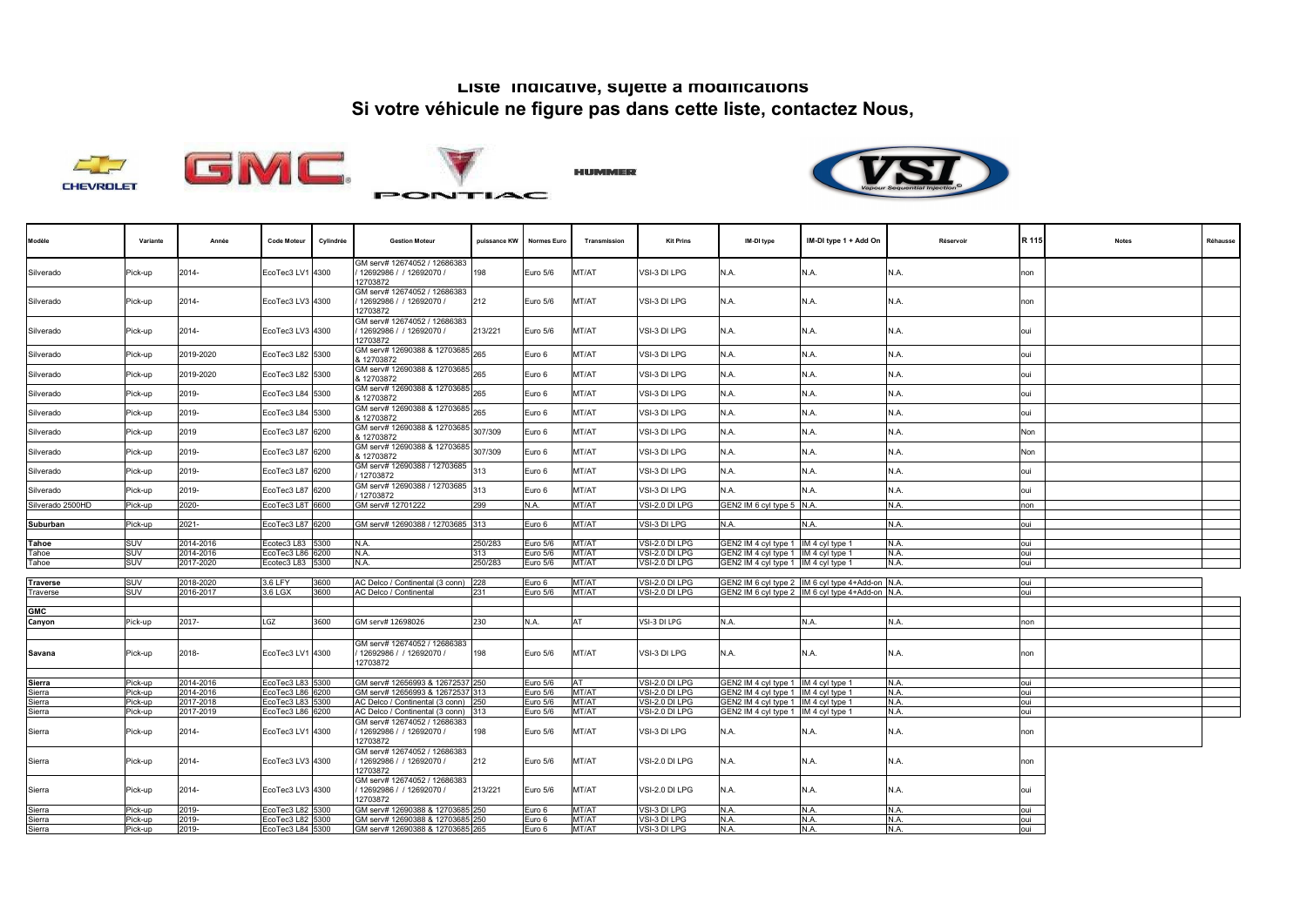## **Liste indicative, sujette à modifications Si votre véhicule ne figure pas dans cette liste, contactez Nous,**











| Modèle                | Variante   | Année     | <b>Code Moteur</b>                   | Cylindrée | <b>Gestion Moteur</b>                                                | puissance KW   | Normes Euro         | Transmission | <b>Kit Prins</b>                 | IM-DI type                                                                   | IM-DI type 1 + Add On                            | Réservoir    | R 115      | <b>Notes</b> | Réhausse |
|-----------------------|------------|-----------|--------------------------------------|-----------|----------------------------------------------------------------------|----------------|---------------------|--------------|----------------------------------|------------------------------------------------------------------------------|--------------------------------------------------|--------------|------------|--------------|----------|
| Silverado             | Pick-up    | 2014-     | EcoTec3 LV1 4300                     |           | GM serv# 12674052 / 12686383<br>12692986 / / 12692070 /<br>12703872  | 198            | Euro 5/6            | MT/AT        | VSI-3 DI LPG                     | N.A.                                                                         | N.A.                                             | N.A.         | non        |              |          |
| Silverado             | Pick-up    | 2014-     | EcoTec3 LV3 4300                     |           | 3M serv# 12674052 / 12686383<br>12692986 / / 12692070 /<br>12703872  | 212            | Euro 5/6            | MT/AT        | VSI-3 DI LPG                     | N.A.                                                                         | N.A.                                             | N.A.         | non        |              |          |
| Silverado             | Pick-up    | 2014-     | EcoTec3 LV3 4300                     |           | GM serv# 12674052 / 12686383<br>12692986 / / 12692070 /<br>12703872  | 213/221        | Euro 5/6            | MT/AT        | VSI-3 DI LPG                     | N.A.                                                                         | N.A.                                             | N.A.         | oui        |              |          |
| Silverado             | Pick-up    | 2019-2020 | EcoTec3 L82 5300                     |           | GM serv# 12690388 & 12703685<br>12703872                             | 265            | Euro 6              | MT/AT        | VSI-3 DI LPG                     | N.A.                                                                         | N.A.                                             | N.A.         | oui        |              |          |
| Silverado             | Pick-up    | 2019-2020 | EcoTec3 L82 5300                     |           | GM serv# 12690388 & 12703685<br>\$12703872                           | 265            | Euro 6              | MT/AT        | VSI-3 DI LPG                     | N.A.                                                                         | N.A.                                             | N.A.         | oui        |              |          |
| Silverado             | Pick-up    | 2019-     | EcoTec3 L84 5300                     |           | GM serv# 12690388 & 12703685 265<br>\$12703872                       |                | Euro 6              | MT/AT        | VSI-3 DI LPG                     | N.A.                                                                         | N.A.                                             | N.A.         | oui        |              |          |
| Silverado             | Pick-up    | 2019-     | EcoTec3 L84 5300                     |           | GM serv# 12690388 & 12703685 265<br>\$12703872                       |                | Euro 6              | MT/AT        | VSI-3 DI LPG                     | N.A.                                                                         | N.A.                                             | N.A.         | oui        |              |          |
| Silverado             | Pick-up    | 2019      | EcoTec3 L87 6200                     |           | GM serv# 12690388 & 12703685<br>\$12703872                           | 307/309        | Euro 6              | MT/AT        | VSI-3 DI LPG                     | N.A.                                                                         | N.A.                                             | N.A.         | Non        |              |          |
| Silverado             | Pick-up    | 2019-     | EcoTec3 L87 6200                     |           | GM serv# 12690388 & 12703685<br>& 12703872                           | 307/309        | Euro 6              | MT/AT        | VSI-3 DI LPG                     | N.A.                                                                         | N.A.                                             | N.A.         | Non        |              |          |
| Silverado             | Pick-up    | 2019-     | EcoTec3 L87 6200                     |           | GM serv# 12690388 / 12703685<br>12703872                             | 313            | Euro 6              | MT/AT        | VSI-3 DI LPG                     | N.A.                                                                         | N.A.                                             | N.A.         | oui        |              |          |
| Silverado             | Pick-up    | 2019-     | EcoTec3 L87 6200                     |           | 3M serv# 12690388 / 12703685<br>12703872                             | 313            | Euro 6              | MT/AT        | VSI-3 DI LPG                     | N.A.                                                                         | N.A.                                             | N.A.         | oui        |              |          |
| Silverado 2500HD      | Pick-up    | 2020-     | EcoTec3 L8T 6600                     |           | GM serv# 12701222                                                    | 299            | N.A.                | MT/AT        | VSI-2.0 DI LPG                   | GEN2 IM 6 cyl type 5 N.A.                                                    |                                                  | N.A.         | non        |              |          |
|                       |            |           |                                      |           |                                                                      |                |                     |              |                                  |                                                                              |                                                  |              |            |              |          |
| Suburban              | Pick-up    | $2021 -$  | EcoTec3 L87 6200                     |           | GM serv# 12690388 / 12703685 313                                     |                | Euro 6              | MT/AT        | VSI-3 DI LPG                     | N.A.                                                                         | N.A.                                             | N.A.         | oui        |              |          |
|                       | SUV        | 2014-2016 | Ecotec3 L83 5300                     |           | N.A.                                                                 |                | Euro 5/6            | MT/AT        | VSI-2.0 DI LPG                   |                                                                              |                                                  | N.A.         | oui        |              |          |
| <b>Tahoe</b><br>Tahoe | SUV        | 2014-2016 | EcoTec3 L86 6200                     |           | N.A.                                                                 | 250/283<br>313 | Euro 5/6            | MT/AT        | VSI-2.0 DI LPG                   | SEN2 IM 4 cyl type 1 IM 4 cyl type 1<br>GEN2 IM 4 cyl type 1 IM 4 cyl type 1 |                                                  | N.A.         | oui        |              |          |
| Tahoe                 | SUV        | 2017-2020 | Ecotec3 L83 5300                     |           | N.A.                                                                 | 250/283        | Euro 5/6            | MT/AT        | VSI-2.0 DI LPG                   | GEN2 IM 4 cyl type 1 IM 4 cyl type 1                                         |                                                  | N.A.         | oui        |              |          |
|                       |            |           |                                      |           |                                                                      |                |                     |              |                                  |                                                                              |                                                  |              |            |              |          |
| <b>Traverse</b>       | <b>SUV</b> | 2018-2020 | 3.6 LFY                              | 3600      | AC Delco / Continental (3 conn)                                      | 228            | Euro 6              | MT/AT        | VSI-2.0 DI LPG                   |                                                                              | GEN2 IM 6 cyl type 2 IM 6 cyl type 4+Add-on N.A. |              | oui        |              |          |
| Traverse              | SUV        | 2016-2017 | 3.6 LGX                              | 3600      | AC Delco / Continental                                               | 231            | Euro 5/6            | MT/AT        | VSI-2.0 DI LPG                   |                                                                              | GEN2 IM 6 cyl type 2 IM 6 cyl type 4+Add-on N.A. |              | oui        |              |          |
|                       |            |           |                                      |           |                                                                      |                |                     |              |                                  |                                                                              |                                                  |              |            |              |          |
| GMC                   |            |           |                                      |           |                                                                      |                |                     |              |                                  |                                                                              |                                                  |              |            |              |          |
| Canyon                | Pick-up    | $2017 -$  | LGZ                                  | 3600      | GM serv# 12698026                                                    | 230            | N.A.                | AT           | VSI-3 DI LPG                     | N.A.                                                                         | N.A.                                             | N.A.         | non        |              |          |
|                       |            |           |                                      |           |                                                                      |                |                     |              |                                  |                                                                              |                                                  |              |            |              |          |
| Savana                | Pick-up    | 2018-     | EcoTec3 LV1 4300                     |           | GM serv# 12674052 / 12686383<br>12692986 / / 12692070 /<br>12703872  | 198            | Euro 5/6            | MT/AT        | VSI-3 DI LPG                     | N.A.                                                                         | N.A.                                             | N.A.         | non        |              |          |
|                       | Pick-up    | 2014-2016 |                                      |           |                                                                      |                |                     |              |                                  |                                                                              |                                                  |              |            |              |          |
| Sierra<br>Sierra      | Pick-up    | 2014-2016 | EcoTec3 L83 5300<br>EcoTec3 L86 6200 |           | GM serv# 12656993 & 12672537 250<br>GM serv# 12656993 & 12672537 313 |                | Euro 5/6<br>uro 5/6 | AT<br>MT/AT  | VSI-2.0 DI LPG<br>VSI-2.0 DI LPG | GEN2 IM 4 cyl type 1 IM 4 cyl type 1<br>EN2 IM 4 cyl type 1 IM 4 cyl type 1  |                                                  | N.A.<br>N.A. | oui<br>oui |              |          |
| Sierra                | Pick-up    | 2017-2018 | EcoTec3 L83 5300                     |           | AC Delco / Continental (3 conn)                                      | 250            | Euro <sub>5/6</sub> | MT/AT        | VSI-2.0 DI LPG                   | GEN2 IM 4 cyl type 1 IM 4 cyl type 1                                         |                                                  | N.A.         | oui        |              |          |
| Sierra                | Pick-up    | 2017-2019 | EcoTec3 L86 6200                     |           | AC Delco / Continental (3 conn)                                      | 313            | Euro 5/6            | MT/AT        | VSI-2.0 DI LPG                   | GEN2 IM 4 cyl type 1 IM 4 cyl type 1                                         |                                                  | N.A.         | oui        |              |          |
| Sierra                | Pick-up    | 2014-     | EcoTec3 LV1 4300                     |           | GM serv# 12674052 / 12686383<br>12692986 / / 12692070 /<br>12703872  | 198            | Euro 5/6            | MT/AT        | VSI-3 DI LPG                     | N.A.                                                                         | N.A.                                             | N.A.         | non        |              |          |
| Sierra                | Pick-up    | 2014-     | EcoTec3 LV3 4300                     |           | GM serv# 12674052 / 12686383<br>12692986 / / 12692070 /<br>12703872  | 212            | Euro 5/6            | MT/AT        | VSI-2.0 DI LPG                   | N.A.                                                                         | N.A.                                             | N.A.         | non        |              |          |
| Sierra                | Pick-up    | 2014-     | EcoTec3 LV3 4300                     |           | GM serv# 12674052 / 12686383<br>12692986 / / 12692070 /<br>12703872  | 213/221        | Euro 5/6            | MT/AT        | VSI-2.0 DI LPG                   | N.A.                                                                         | N.A.                                             | N.A.         | oui        |              |          |
| Sierra                | Pick-up    | 2019-     | EcoTec3 L82 5300                     |           | GM serv# 12690388 & 12703685 250                                     |                | Euro 6              | MT/AT        | VSI-3 DI LPG                     | N.A.                                                                         | N.A.                                             | N.A.         | oui        |              |          |
| Sierra                | Pick-up    | 2019-     | EcoTec3 L82 5300                     |           | 3M serv# 12690388 & 12703685 250                                     |                | Euro 6              | MT/AT        | VSI-3 DI LPG                     | N.A.                                                                         | N.A.                                             | N.A.         | oui        |              |          |
| Sierra                | Pick-up    | 2019-     | EcoTec3 L84 5300                     |           | GM serv# 12690388 & 12703685 265                                     |                | Euro 6              | MT/AT        | VSI-3 DI LPG                     | N.A.                                                                         | N.A.                                             | N.A.         | oui        |              |          |